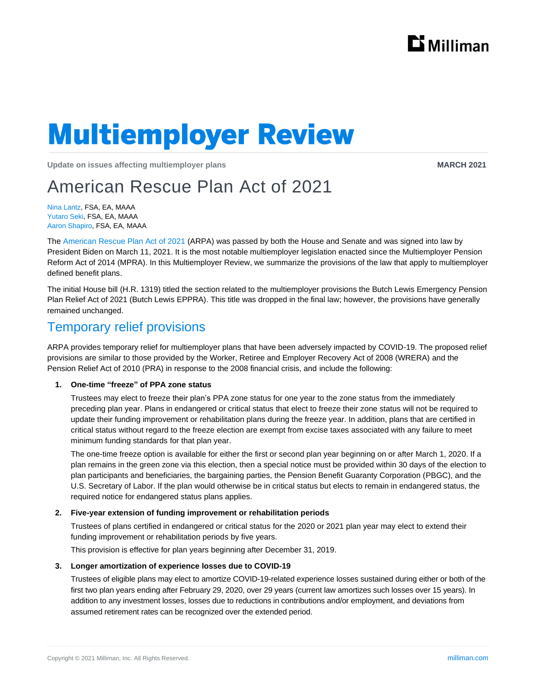

# **Multiemployer Review**

**Update on issues affecting multiemployer plans MARCH 2021 MARCH 2021** 

# American Rescue Plan Act of 2021

Nina Lantz, FSA, EA, MAAA Yutaro Seki, FSA, EA, MAAA Aaron Shapiro, FSA, EA, MAAA

The [American Rescue Plan](https://www.congress.gov/117/bills/hr1319/BILLS-117hr1319enr.pdf) Act of 2021 (ARPA) was passed by both the House and Senate and was signed into law by President Biden on March 11, 2021. It is the most notable multiemployer legislation enacted since the Multiemployer Pension Reform Act of 2014 (MPRA). In this Multiemployer Review, we summarize the provisions of the law that apply to multiemployer defined benefit plans.

The initial House bill (H.R. 1319) titled the section related to the multiemployer provisions the Butch Lewis Emergency Pension Plan Relief Act of 2021 (Butch Lewis EPPRA). This title was dropped in the final law; however, the provisions have generally remained unchanged.

## Temporary relief provisions

ARPA provides temporary relief for multiemployer plans that have been adversely impacted by COVID-19. The proposed relief provisions are similar to those provided by the Worker, Retiree and Employer Recovery Act of 2008 (WRERA) and the Pension Relief Act of 2010 (PRA) in response to the 2008 financial crisis, and include the following:

#### **1. One-time "freeze" of PPA zone status**

Trustees may elect to freeze their plan's PPA zone status for one year to the zone status from the immediately preceding plan year. Plans in endangered or critical status that elect to freeze their zone status will not be required to update their funding improvement or rehabilitation plans during the freeze year. In addition, plans that are certified in critical status without regard to the freeze election are exempt from excise taxes associated with any failure to meet minimum funding standards for that plan year.

The one-time freeze option is available for either the first or second plan year beginning on or after March 1, 2020. If a plan remains in the green zone via this election, then a special notice must be provided within 30 days of the election to plan participants and beneficiaries, the bargaining parties, the Pension Benefit Guaranty Corporation (PBGC), and the U.S. Secretary of Labor. If the plan would otherwise be in critical status but elects to remain in endangered status, the required notice for endangered status plans applies.

#### **2. Five-year extension of funding improvement or rehabilitation periods**

Trustees of plans certified in endangered or critical status for the 2020 or 2021 plan year may elect to extend their funding improvement or rehabilitation periods by five years.

This provision is effective for plan years beginning after December 31, 2019.

#### **3. Longer amortization of experience losses due to COVID-19**

Trustees of eligible plans may elect to amortize COVID-19-related experience losses sustained during either or both of the first two plan years ending after February 29, 2020, over 29 years (current law amortizes such losses over 15 years). In addition to any investment losses, losses due to reductions in contributions and/or employment, and deviations from assumed retirement rates can be recognized over the extended period.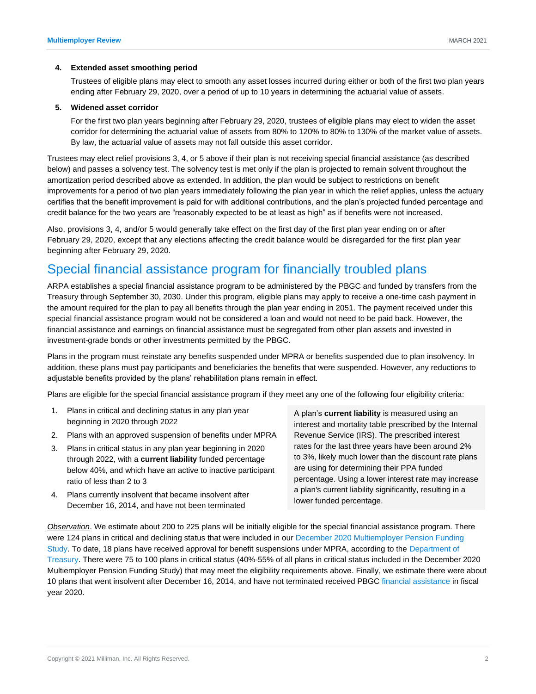#### **4. Extended asset smoothing period**

Trustees of eligible plans may elect to smooth any asset losses incurred during either or both of the first two plan years ending after February 29, 2020, over a period of up to 10 years in determining the actuarial value of assets.

#### **5. Widened asset corridor**

For the first two plan years beginning after February 29, 2020, trustees of eligible plans may elect to widen the asset corridor for determining the actuarial value of assets from 80% to 120% to 80% to 130% of the market value of assets. By law, the actuarial value of assets may not fall outside this asset corridor.

Trustees may elect relief provisions 3, 4, or 5 above if their plan is not receiving special financial assistance (as described below) and passes a solvency test. The solvency test is met only if the plan is projected to remain solvent throughout the amortization period described above as extended. In addition, the plan would be subject to restrictions on benefit improvements for a period of two plan years immediately following the plan year in which the relief applies, unless the actuary certifies that the benefit improvement is paid for with additional contributions, and the plan's projected funded percentage and credit balance for the two years are "reasonably expected to be at least as high" as if benefits were not increased.

Also, provisions 3, 4, and/or 5 would generally take effect on the first day of the first plan year ending on or after February 29, 2020, except that any elections affecting the credit balance would be disregarded for the first plan year beginning after February 29, 2020.

# Special financial assistance program for financially troubled plans

ARPA establishes a special financial assistance program to be administered by the PBGC and funded by transfers from the Treasury through September 30, 2030. Under this program, eligible plans may apply to receive a one-time cash payment in the amount required for the plan to pay all benefits through the plan year ending in 2051. The payment received under this special financial assistance program would not be considered a loan and would not need to be paid back. However, the financial assistance and earnings on financial assistance must be segregated from other plan assets and invested in investment-grade bonds or other investments permitted by the PBGC.

Plans in the program must reinstate any benefits suspended under MPRA or benefits suspended due to plan insolvency. In addition, these plans must pay participants and beneficiaries the benefits that were suspended. However, any reductions to adjustable benefits provided by the plans' rehabilitation plans remain in effect.

Plans are eligible for the special financial assistance program if they meet any one of the following four eligibility criteria:

- 1. Plans in critical and declining status in any plan year beginning in 2020 through 2022
- 2. Plans with an approved suspension of benefits under MPRA
- 3. Plans in critical status in any plan year beginning in 2020 through 2022, with a **current liability** funded percentage below 40%, and which have an active to inactive participant ratio of less than 2 to 3
- 4. Plans currently insolvent that became insolvent after December 16, 2014, and have not been terminated

A plan's **current liability** is measured using an interest and mortality table prescribed by the Internal Revenue Service (IRS). The prescribed interest rates for the last three years have been around 2% to 3%, likely much lower than the discount rate plans are using for determining their PPA funded percentage. Using a lower interest rate may increase a plan's current liability significantly, resulting in a lower funded percentage.

*Observation*. We estimate about 200 to 225 plans will be initially eligible for the special financial assistance program. There were 124 plans in critical and declining status that were included in our December 2020 Multiemployer Pension Funding [Study.](https://us.milliman.com/en/insight/multiemployer-pension-funding-study-december-2020) To date, 18 plans have received approval for benefit suspensions under MPRA, according to the [Department of](https://home.treasury.gov/services/the-multiemployer-pension-reform-act-of-2014/applications-for-benefit-suspension)  [Treasury.](https://home.treasury.gov/services/the-multiemployer-pension-reform-act-of-2014/applications-for-benefit-suspension) There were 75 to 100 plans in critical status (40%-55% of all plans in critical status included in the December 2020 Multiemployer Pension Funding Study) that may meet the eligibility requirements above. Finally, we estimate there were about 10 plans that went insolvent after December 16, 2014, and have not terminated received PBGC [financial assistance](https://www.pbgc.gov/sites/default/files/fin-assistance-me.xlsx) in fiscal year 2020.